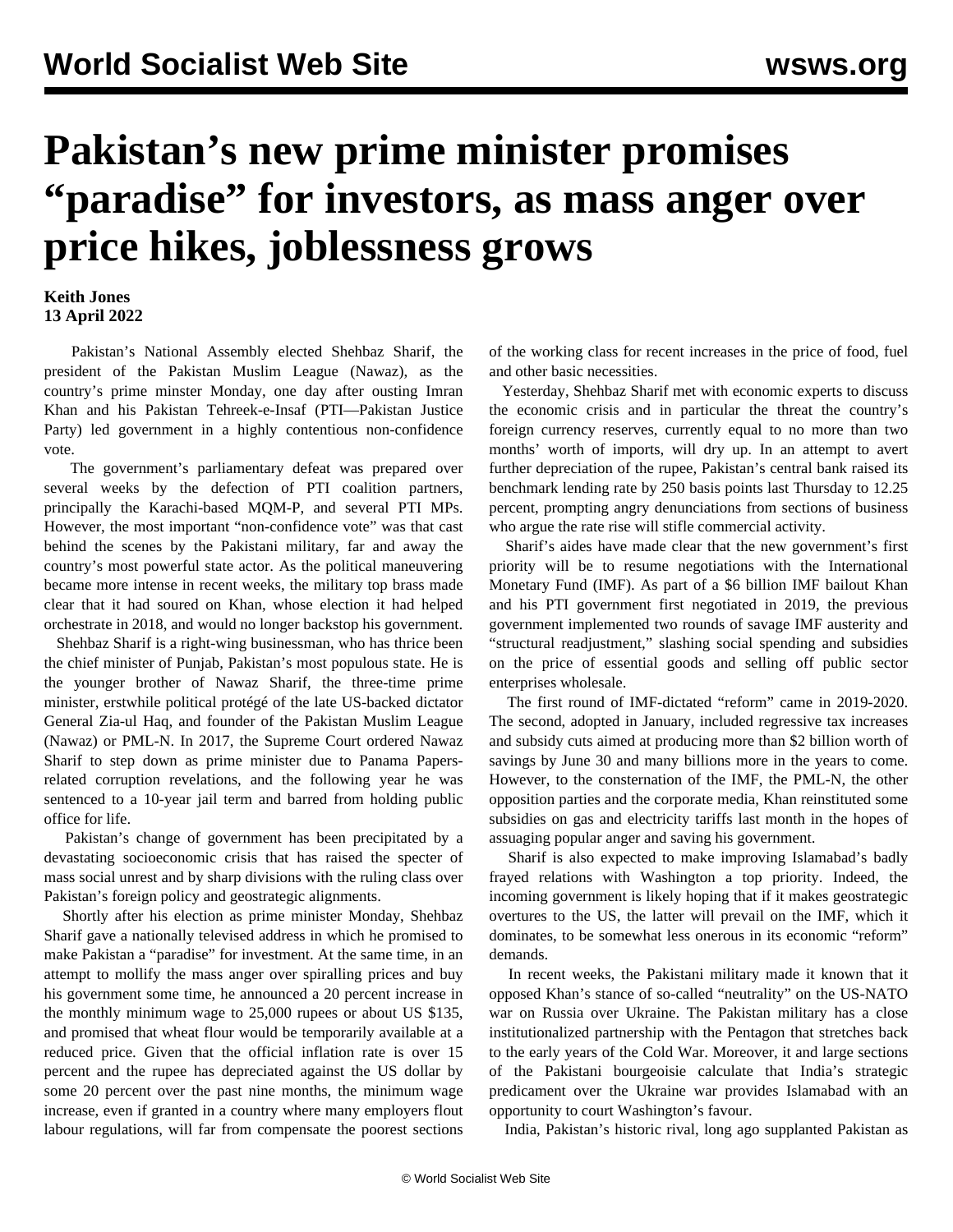## **Pakistan's new prime minister promises "paradise" for investors, as mass anger over price hikes, joblessness grows**

## **Keith Jones 13 April 2022**

 Pakistan's National Assembly elected Shehbaz Sharif, the president of the Pakistan Muslim League (Nawaz), as the country's prime minster Monday, one day after ousting Imran Khan and his Pakistan Tehreek-e-Insaf (PTI—Pakistan Justice Party) led government in a highly contentious non-confidence vote.

 The government's parliamentary defeat was prepared over several weeks by the defection of PTI coalition partners, principally the Karachi-based MQM-P, and several PTI MPs. However, the most important "non-confidence vote" was that cast behind the scenes by the Pakistani military, far and away the country's most powerful state actor. As the political maneuvering became more intense in recent weeks, the military top brass made clear that it had soured on Khan, whose election it had helped orchestrate in 2018, and would no longer backstop his government.

 Shehbaz Sharif is a right-wing businessman, who has thrice been the chief minister of Punjab, Pakistan's most populous state. He is the younger brother of Nawaz Sharif, the three-time prime minister, erstwhile political protégé of the late US-backed dictator General Zia-ul Haq, and founder of the Pakistan Muslim League (Nawaz) or PML-N. In 2017, the Supreme Court ordered Nawaz Sharif to step down as prime minister due to Panama Papersrelated corruption revelations, and the following year he was sentenced to a 10-year jail term and barred from holding public office for life.

 Pakistan's change of government has been precipitated by a devastating socioeconomic crisis that has raised the specter of mass social unrest and by sharp divisions with the ruling class over Pakistan's foreign policy and geostrategic alignments.

 Shortly after his election as prime minister Monday, Shehbaz Sharif gave a nationally televised address in which he promised to make Pakistan a "paradise" for investment. At the same time, in an attempt to mollify the mass anger over spiralling prices and buy his government some time, he announced a 20 percent increase in the monthly minimum wage to 25,000 rupees or about US \$135, and promised that wheat flour would be temporarily available at a reduced price. Given that the official inflation rate is over 15 percent and the rupee has depreciated against the US dollar by some 20 percent over the past nine months, the minimum wage increase, even if granted in a country where many employers flout labour regulations, will far from compensate the poorest sections

of the working class for recent increases in the price of food, fuel and other basic necessities.

 Yesterday, Shehbaz Sharif met with economic experts to discuss the economic crisis and in particular the threat the country's foreign currency reserves, currently equal to no more than two months' worth of imports, will dry up. In an attempt to avert further depreciation of the rupee, Pakistan's central bank raised its benchmark lending rate by 250 basis points last Thursday to 12.25 percent, prompting angry denunciations from sections of business who argue the rate rise will stifle commercial activity.

 Sharif's aides have made clear that the new government's first priority will be to resume negotiations with the International Monetary Fund (IMF). As part of a \$6 billion IMF bailout Khan and his PTI government first negotiated in 2019, the previous government implemented two rounds of savage IMF austerity and "structural readjustment," slashing social spending and subsidies on the price of essential goods and selling off public sector enterprises wholesale.

 The first round of IMF-dictated "reform" came in 2019-2020. The second, adopted in January, included regressive tax increases and subsidy cuts aimed at producing more than \$2 billion worth of savings by June 30 and many billions more in the years to come. However, to the consternation of the IMF, the PML-N, the other opposition parties and the corporate media, Khan reinstituted some subsidies on gas and electricity tariffs last month in the hopes of assuaging popular anger and saving his government.

 Sharif is also expected to make improving Islamabad's badly frayed relations with Washington a top priority. Indeed, the incoming government is likely hoping that if it makes geostrategic overtures to the US, the latter will prevail on the IMF, which it dominates, to be somewhat less onerous in its economic "reform" demands.

 In recent weeks, the Pakistani military made it known that it opposed Khan's stance of so-called "neutrality" on the US-NATO war on Russia over Ukraine. The Pakistan military has a close institutionalized partnership with the Pentagon that stretches back to the early years of the Cold War. Moreover, it and large sections of the Pakistani bourgeoisie calculate that India's strategic predicament over the Ukraine war provides Islamabad with an opportunity to court Washington's favour.

India, Pakistan's historic rival, long ago supplanted Pakistan as